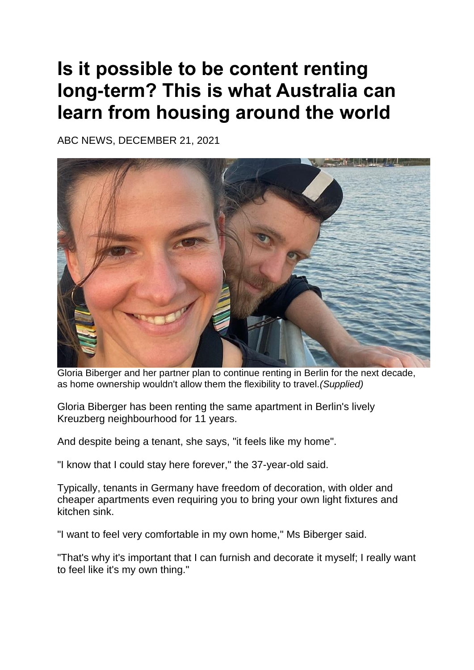## **Is it possible to be content renting long-term? This is what Australia can learn from housing around the world**

ABC NEWS, DECEMBER 21, 2021



Gloria Biberger and her partner plan to continue renting in Berlin for the next decade, as home ownership wouldn't allow them the flexibility to travel.*(Supplied)*

Gloria Biberger has been renting the same apartment in Berlin's lively Kreuzberg neighbourhood for 11 years.

And despite being a tenant, she says, "it feels like my home".

"I know that I could stay here forever," the 37-year-old said.

Typically, tenants in Germany have freedom of decoration, with older and cheaper apartments even requiring you to bring your own light fixtures and kitchen sink.

"I want to feel very comfortable in my own home," Ms Biberger said.

"That's why it's important that I can furnish and decorate it myself; I really want to feel like it's my own thing."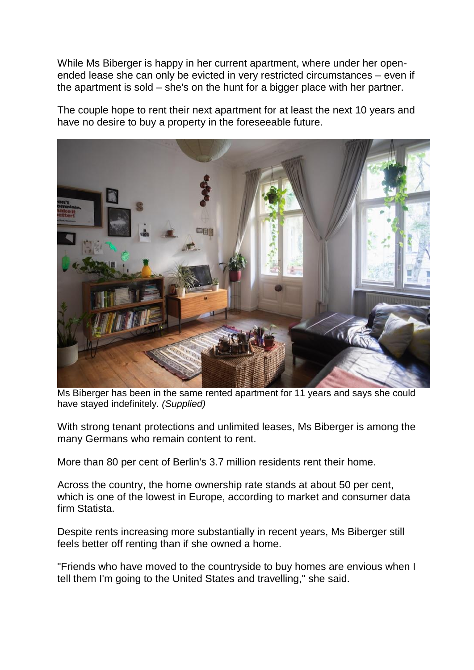While Ms Biberger is happy in her current apartment, where under her openended lease she can only be evicted in very restricted circumstances – even if the apartment is sold – she's on the hunt for a bigger place with her partner.

The couple hope to rent their next apartment for at least the next 10 years and have no desire to buy a property in the foreseeable future.



Ms Biberger has been in the same rented apartment for 11 years and says she could have stayed indefinitely. *(Supplied)*

With strong tenant protections and unlimited leases, Ms Biberger is among the many Germans who remain content to rent.

More than 80 per cent of Berlin's 3.7 million residents rent their home.

Across the country, the home ownership rate stands at about 50 per cent, which is one of the lowest in Europe, according to market and consumer data firm Statista.

Despite rents increasing more substantially in recent years, Ms Biberger still feels better off renting than if she owned a home.

"Friends who have moved to the countryside to buy homes are envious when I tell them I'm going to the United States and travelling," she said.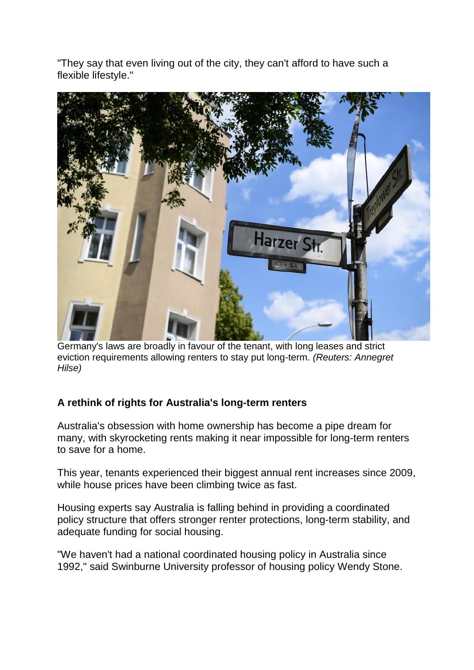"They say that even living out of the city, they can't afford to have such a flexible lifestyle."



Germany's laws are broadly in favour of the tenant, with long leases and strict eviction requirements allowing renters to stay put long-term. *(Reuters: Annegret Hilse)*

## **A rethink of rights for Australia's long-term renters**

Australia's obsession with home ownership has become a pipe dream for many, with skyrocketing rents making it near impossible for long-term renters to save for a home.

[This year, tenants experienced their biggest annual rent increases since 2009,](https://www.abc.net.au/news/2021-10-01/home-prices-surge-more-than-20pc-over-the-past-year-corelogic/100506228) while house prices have been climbing twice as fast.

Housing experts say Australia is falling behind in providing a coordinated policy structure that offers stronger renter protections, long-term stability, and adequate funding for social housing.

"We haven't had a national coordinated housing policy in Australia since 1992," said Swinburne University professor of housing policy Wendy Stone.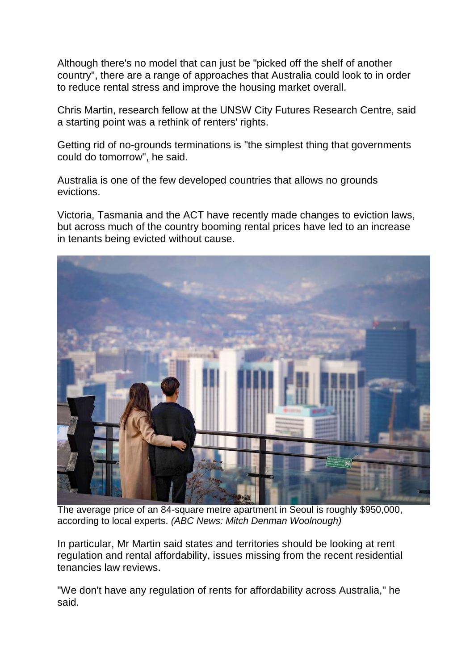Although there's no model that can just be "picked off the shelf of another country", there are a range of approaches that Australia could look to in order to reduce rental stress and improve the housing market overall.

Chris Martin, research fellow at the UNSW City Futures Research Centre, said a starting point was a rethink of renters' rights.

Getting rid of no-grounds terminations is "the simplest thing that governments could do tomorrow", he said.

Australia is one of the few developed countries that allows no grounds evictions.

Victoria, Tasmania and the ACT have recently made changes to eviction laws, but across much of the country booming rental prices have led to an increase in tenants being evicted without cause.



The average price of an 84-square metre apartment in Seoul is roughly \$950,000, according to local experts. *(ABC News: Mitch Denman Woolnough)*

In particular, Mr Martin said states and territories should be looking at rent regulation and rental affordability, issues missing from the recent residential tenancies law reviews.

"We don't have any regulation of rents for affordability across Australia," he said.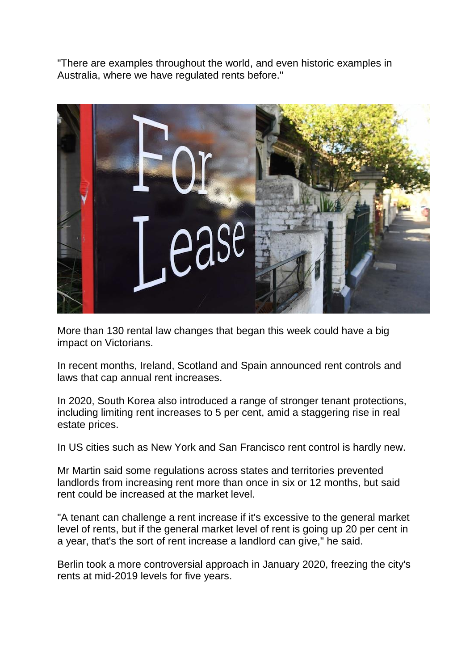"There are examples throughout the world, and even historic examples in Australia, where we have regulated rents before."



More than 130 rental law changes that began this week could have a big impact on Victorians.

In recent months, Ireland, Scotland and Spain announced rent controls and laws that cap annual rent increases.

In 2020, South Korea also introduced a range of stronger tenant protections, including limiting rent increases to 5 per cent, amid a staggering rise in real estate prices.

In US cities such as New York and San Francisco rent control is hardly new.

Mr Martin said some regulations across states and territories prevented landlords from increasing rent more than once in six or 12 months, but said rent could be increased at the market level.

"A tenant can challenge a rent increase if it's excessive to the general market level of rents, but if the general market level of rent is going up 20 per cent in a year, that's the sort of rent increase a landlord can give," he said.

Berlin took a more controversial approach in January 2020, freezing the city's rents at mid-2019 levels for five years.